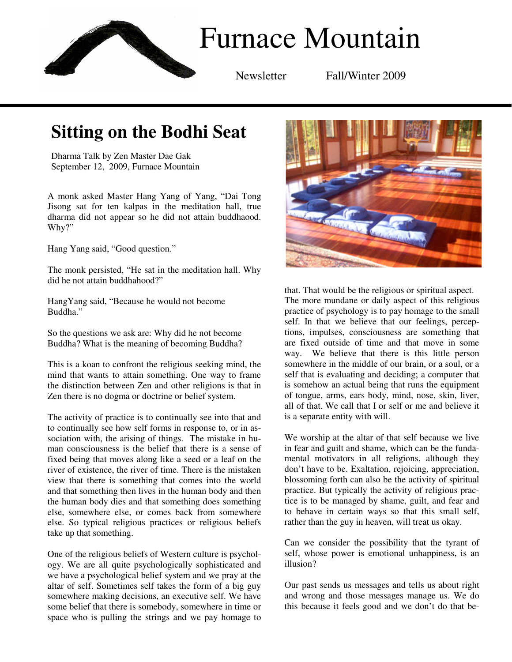

Newsletter Fall/Winter 2009

## **Sitting on the Bodhi Seat**

Dharma Talk by Zen Master Dae Gak September 12, 2009, Furnace Mountain

A monk asked Master Hang Yang of Yang, "Dai Tong Jisong sat for ten kalpas in the meditation hall, true dharma did not appear so he did not attain buddhaood. Why?"

Hang Yang said, "Good question."

The monk persisted, "He sat in the meditation hall. Why did he not attain buddhahood?"

HangYang said, "Because he would not become Buddha."

So the questions we ask are: Why did he not become Buddha? What is the meaning of becoming Buddha?

This is a koan to confront the religious seeking mind, the mind that wants to attain something. One way to frame the distinction between Zen and other religions is that in Zen there is no dogma or doctrine or belief system.

The activity of practice is to continually see into that and to continually see how self forms in response to, or in association with, the arising of things. The mistake in human consciousness is the belief that there is a sense of fixed being that moves along like a seed or a leaf on the river of existence, the river of time. There is the mistaken view that there is something that comes into the world and that something then lives in the human body and then the human body dies and that something does something else, somewhere else, or comes back from somewhere else. So typical religious practices or religious beliefs take up that something.

One of the religious beliefs of Western culture is psychology. We are all quite psychologically sophisticated and we have a psychological belief system and we pray at the altar of self. Sometimes self takes the form of a big guy somewhere making decisions, an executive self. We have some belief that there is somebody, somewhere in time or space who is pulling the strings and we pay homage to



that. That would be the religious or spiritual aspect. The more mundane or daily aspect of this religious practice of psychology is to pay homage to the small self. In that we believe that our feelings, perceptions, impulses, consciousness are something that are fixed outside of time and that move in some way. We believe that there is this little person somewhere in the middle of our brain, or a soul, or a self that is evaluating and deciding; a computer that is somehow an actual being that runs the equipment of tongue, arms, ears body, mind, nose, skin, liver, all of that. We call that I or self or me and believe it is a separate entity with will.

We worship at the altar of that self because we live in fear and guilt and shame, which can be the fundamental motivators in all religions, although they don't have to be. Exaltation, rejoicing, appreciation, blossoming forth can also be the activity of spiritual practice. But typically the activity of religious practice is to be managed by shame, guilt, and fear and to behave in certain ways so that this small self, rather than the guy in heaven, will treat us okay.

Can we consider the possibility that the tyrant of self, whose power is emotional unhappiness, is an illusion?

Our past sends us messages and tells us about right and wrong and those messages manage us. We do this because it feels good and we don't do that be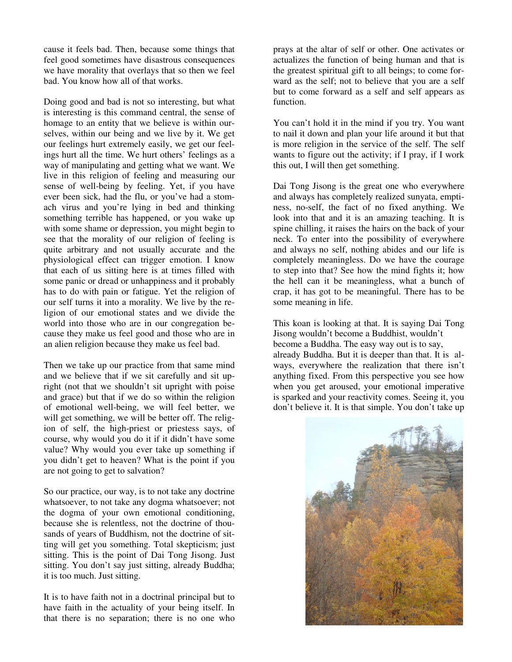cause it feels bad. Then, because some things that feel good sometimes have disastrous consequences we have morality that overlays that so then we feel bad. You know how all of that works.

Doing good and bad is not so interesting, but what is interesting is this command central, the sense of homage to an entity that we believe is within ourselves, within our being and we live by it. We get our feelings hurt extremely easily, we get our feelings hurt all the time. We hurt others' feelings as a way of manipulating and getting what we want. We live in this religion of feeling and measuring our sense of well-being by feeling. Yet, if you have ever been sick, had the flu, or you've had a stomach virus and you're lying in bed and thinking something terrible has happened, or you wake up with some shame or depression, you might begin to see that the morality of our religion of feeling is quite arbitrary and not usually accurate and the physiological effect can trigger emotion. I know that each of us sitting here is at times filled with some panic or dread or unhappiness and it probably has to do with pain or fatigue. Yet the religion of our self turns it into a morality. We live by the religion of our emotional states and we divide the world into those who are in our congregation because they make us feel good and those who are in an alien religion because they make us feel bad.

Then we take up our practice from that same mind and we believe that if we sit carefully and sit upright (not that we shouldn't sit upright with poise and grace) but that if we do so within the religion of emotional well-being, we will feel better, we will get something, we will be better off. The religion of self, the high-priest or priestess says, of course, why would you do it if it didn't have some value? Why would you ever take up something if you didn't get to heaven? What is the point if you are not going to get to salvation?

So our practice, our way, is to not take any doctrine whatsoever, to not take any dogma whatsoever; not the dogma of your own emotional conditioning, because she is relentless, not the doctrine of thousands of years of Buddhism, not the doctrine of sitting will get you something. Total skepticism; just sitting. This is the point of Dai Tong Jisong. Just sitting. You don't say just sitting, already Buddha; it is too much. Just sitting.

It is to have faith not in a doctrinal principal but to have faith in the actuality of your being itself. In that there is no separation; there is no one who prays at the altar of self or other. One activates or actualizes the function of being human and that is the greatest spiritual gift to all beings; to come forward as the self; not to believe that you are a self but to come forward as a self and self appears as function.

You can't hold it in the mind if you try. You want to nail it down and plan your life around it but that is more religion in the service of the self. The self wants to figure out the activity; if I pray, if I work this out, I will then get something.

Dai Tong Jisong is the great one who everywhere and always has completely realized sunyata, emptiness, no-self, the fact of no fixed anything. We look into that and it is an amazing teaching. It is spine chilling, it raises the hairs on the back of your neck. To enter into the possibility of everywhere and always no self, nothing abides and our life is completely meaningless. Do we have the courage to step into that? See how the mind fights it; how the hell can it be meaningless, what a bunch of crap, it has got to be meaningful. There has to be some meaning in life.

This koan is looking at that. It is saying Dai Tong Jisong wouldn't become a Buddhist, wouldn't become a Buddha. The easy way out is to say, already Buddha. But it is deeper than that. It is always, everywhere the realization that there isn't anything fixed. From this perspective you see how when you get aroused, your emotional imperative is sparked and your reactivity comes. Seeing it, you don't believe it. It is that simple. You don't take up

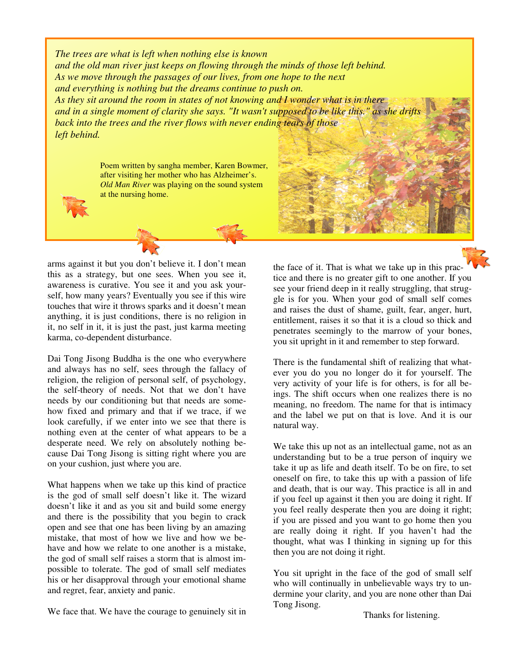*The trees are what is left when nothing else is known and the old man river just keeps on flowing through the minds of those left behind. As we move through the passages of our lives, from one hope to the next and everything is nothing but the dreams continue to push on. As they sit around the room in states of not knowing and I wonder what is in there and in a single moment of clarity she says. "It wasn't supposed to be like this." as she drift back into the trees and the river flows with never ending tears of those left behind.* 

> Poem written by sangha member, Karen Bowmer, after visiting her mother who has Alzheimer's. *Old Man River* was playing on the sound system at the nursing home.

arms against it but you don't believe it. I don't mean this as a strategy, but one sees. When you see it, awareness is curative. You see it and you ask yourself, how many years? Eventually you see if this wire touches that wire it throws sparks and it doesn't mean anything, it is just conditions, there is no religion in it, no self in it, it is just the past, just karma meeting karma, co-dependent disturbance.

Dai Tong Jisong Buddha is the one who everywhere and always has no self, sees through the fallacy of religion, the religion of personal self, of psychology, the self-theory of needs. Not that we don't have needs by our conditioning but that needs are somehow fixed and primary and that if we trace, if we look carefully, if we enter into we see that there is nothing even at the center of what appears to be a desperate need. We rely on absolutely nothing because Dai Tong Jisong is sitting right where you are on your cushion, just where you are.

What happens when we take up this kind of practice is the god of small self doesn't like it. The wizard doesn't like it and as you sit and build some energy and there is the possibility that you begin to crack open and see that one has been living by an amazing mistake, that most of how we live and how we behave and how we relate to one another is a mistake, the god of small self raises a storm that is almost impossible to tolerate. The god of small self mediates his or her disapproval through your emotional shame and regret, fear, anxiety and panic.

We face that. We have the courage to genuinely sit in

the face of it. That is what we take up in this practice and there is no greater gift to one another. If you see your friend deep in it really struggling, that struggle is for you. When your god of small self comes and raises the dust of shame, guilt, fear, anger, hurt, entitlement, raises it so that it is a cloud so thick and penetrates seemingly to the marrow of your bones, you sit upright in it and remember to step forward.

There is the fundamental shift of realizing that whatever you do you no longer do it for yourself. The very activity of your life is for others, is for all beings. The shift occurs when one realizes there is no meaning, no freedom. The name for that is intimacy and the label we put on that is love. And it is our natural way.

We take this up not as an intellectual game, not as an understanding but to be a true person of inquiry we take it up as life and death itself. To be on fire, to set oneself on fire, to take this up with a passion of life and death, that is our way. This practice is all in and if you feel up against it then you are doing it right. If you feel really desperate then you are doing it right; if you are pissed and you want to go home then you are really doing it right. If you haven't had the thought, what was I thinking in signing up for this then you are not doing it right.

You sit upright in the face of the god of small self who will continually in unbelievable ways try to undermine your clarity, and you are none other than Dai Tong Jisong.

Thanks for listening.